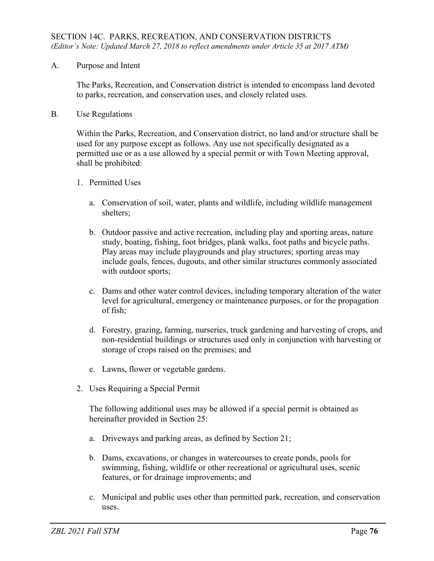A. Purpose and Intent

The Parks, Recreation, and Conservation district is intended to encompass land devoted to parks, recreation, and conservation uses, and closely related uses.

B. Use Regulations

Within the Parks, Recreation, and Conservation district, no land and/or structure shall be used for any purpose except as follows. Any use not specifically designated as a permitted use or as a use allowed by a special permit or with Town Meeting approval, shall be prohibited:

- 1. Permitted Uses
	- a. Conservation of soil, water, plants and wildlife, including wildlife management shelters;
	- b. Outdoor passive and active recreation, including play and sporting areas, nature study, boating, fishing, foot bridges, plank walks, foot paths and bicycle paths. Play areas may include playgrounds and play structures; sporting areas may include goals, fences, dugouts, and other similar structures commonly associated with outdoor sports;
	- c. Dams and other water control devices, including temporary alteration of the water level for agricultural, emergency or maintenance purposes, or for the propagation of fish;
	- d. Forestry, grazing, farming, nurseries, truck gardening and harvesting of crops, and non-residential buildings or structures used only in conjunction with harvesting or storage of crops raised on the premises; and
	- e. Lawns, flower or vegetable gardens.
- 2. Uses Requiring a Special Permit

The following additional uses may be allowed if a special permit is obtained as hereinafter provided in Section 25:

- a. Driveways and parking areas, as defined by Section 21;
- b. Dams, excavations, or changes in watercourses to create ponds, pools for swimming, fishing, wildlife or other recreational or agricultural uses, scenic features, or for drainage improvements; and
- c. Municipal and public uses other than permitted park, recreation, and conservation uses.